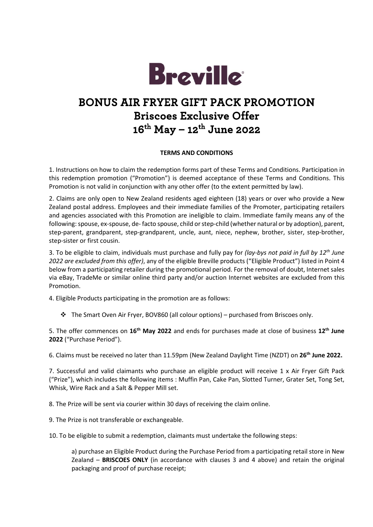

## **BONUS AIR FRYER GIFT PACK PROMOTION Briscoes Exclusive Offer 16th May – 12th June 2022**

## **TERMS AND CONDITIONS**

1. Instructions on how to claim the redemption forms part of these Terms and Conditions. Participation in this redemption promotion ("Promotion") is deemed acceptance of these Terms and Conditions. This Promotion is not valid in conjunction with any other offer (to the extent permitted by law).

2. Claims are only open to New Zealand residents aged eighteen (18) years or over who provide a New Zealand postal address. Employees and their immediate families of the Promoter, participating retailers and agencies associated with this Promotion are ineligible to claim. Immediate family means any of the following: spouse, ex-spouse, de- facto spouse, child or step-child (whether natural or by adoption), parent, step-parent, grandparent, step-grandparent, uncle, aunt, niece, nephew, brother, sister, step-brother, step-sister or first cousin.

3. To be eligible to claim, individuals must purchase and fully pay for *(lay-bys not paid in full by 12th June 2022 are excluded from this offer)*, any of the eligible Breville products ("Eligible Product") listed in Point 4 below from a participating retailer during the promotional period. For the removal of doubt, Internet sales via eBay, TradeMe or similar online third party and/or auction Internet websites are excluded from this Promotion.

4. Eligible Products participating in the promotion are as follows:

 $\div$  The Smart Oven Air Fryer, BOV860 (all colour options) – purchased from Briscoes only.

5. The offer commences on **16th May 2022** and ends for purchases made at close of business **12th June 2022** ("Purchase Period").

6. Claims must be received no later than 11.59pm (New Zealand Daylight Time (NZDT) on **26th June 2022.**

7. Successful and valid claimants who purchase an eligible product will receive 1 x Air Fryer Gift Pack ("Prize"), which includes the following items : Muffin Pan, Cake Pan, Slotted Turner, Grater Set, Tong Set, Whisk, Wire Rack and a Salt & Pepper Mill set.

8. The Prize will be sent via courier within 30 days of receiving the claim online.

9. The Prize is not transferable or exchangeable.

10. To be eligible to submit a redemption, claimants must undertake the following steps:

a) purchase an Eligible Product during the Purchase Period from a participating retail store in New Zealand – **BRISCOES ONLY** (in accordance with clauses 3 and 4 above) and retain the original packaging and proof of purchase receipt;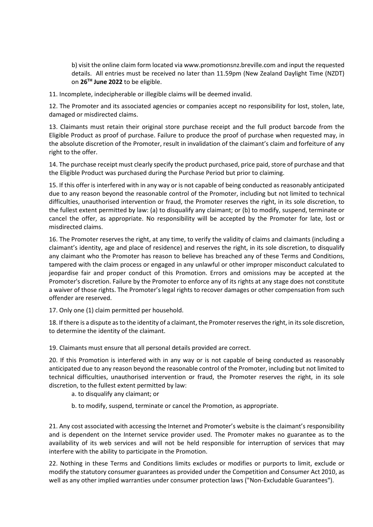b) visit the online claim form located via www.promotionsnz.breville.com and input the requested details. All entries must be received no later than 11.59pm (New Zealand Daylight Time (NZDT) on **26TH June 2022** to be eligible.

11. Incomplete, indecipherable or illegible claims will be deemed invalid.

12. The Promoter and its associated agencies or companies accept no responsibility for lost, stolen, late, damaged or misdirected claims.

13. Claimants must retain their original store purchase receipt and the full product barcode from the Eligible Product as proof of purchase. Failure to produce the proof of purchase when requested may, in the absolute discretion of the Promoter, result in invalidation of the claimant's claim and forfeiture of any right to the offer.

14. The purchase receipt must clearly specify the product purchased, price paid, store of purchase and that the Eligible Product was purchased during the Purchase Period but prior to claiming.

15. If this offer is interfered with in any way or is not capable of being conducted as reasonably anticipated due to any reason beyond the reasonable control of the Promoter, including but not limited to technical difficulties, unauthorised intervention or fraud, the Promoter reserves the right, in its sole discretion, to the fullest extent permitted by law: (a) to disqualify any claimant; or (b) to modify, suspend, terminate or cancel the offer, as appropriate. No responsibility will be accepted by the Promoter for late, lost or misdirected claims.

16. The Promoter reserves the right, at any time, to verify the validity of claims and claimants (including a claimant's identity, age and place of residence) and reserves the right, in its sole discretion, to disqualify any claimant who the Promoter has reason to believe has breached any of these Terms and Conditions, tampered with the claim process or engaged in any unlawful or other improper misconduct calculated to jeopardise fair and proper conduct of this Promotion. Errors and omissions may be accepted at the Promoter's discretion. Failure by the Promoter to enforce any of its rights at any stage does not constitute a waiver of those rights. The Promoter's legal rights to recover damages or other compensation from such offender are reserved.

17. Only one (1) claim permitted per household.

18. If there is a dispute as to the identity of a claimant, the Promoter reserves the right, in its sole discretion, to determine the identity of the claimant.

19. Claimants must ensure that all personal details provided are correct.

20. If this Promotion is interfered with in any way or is not capable of being conducted as reasonably anticipated due to any reason beyond the reasonable control of the Promoter, including but not limited to technical difficulties, unauthorised intervention or fraud, the Promoter reserves the right, in its sole discretion, to the fullest extent permitted by law:

a. to disqualify any claimant; or

b. to modify, suspend, terminate or cancel the Promotion, as appropriate.

21. Any cost associated with accessing the Internet and Promoter's website is the claimant's responsibility and is dependent on the Internet service provider used. The Promoter makes no guarantee as to the availability of its web services and will not be held responsible for interruption of services that may interfere with the ability to participate in the Promotion.

22. Nothing in these Terms and Conditions limits excludes or modifies or purports to limit, exclude or modify the statutory consumer guarantees as provided under the Competition and Consumer Act 2010, as well as any other implied warranties under consumer protection laws ("Non-Excludable Guarantees").